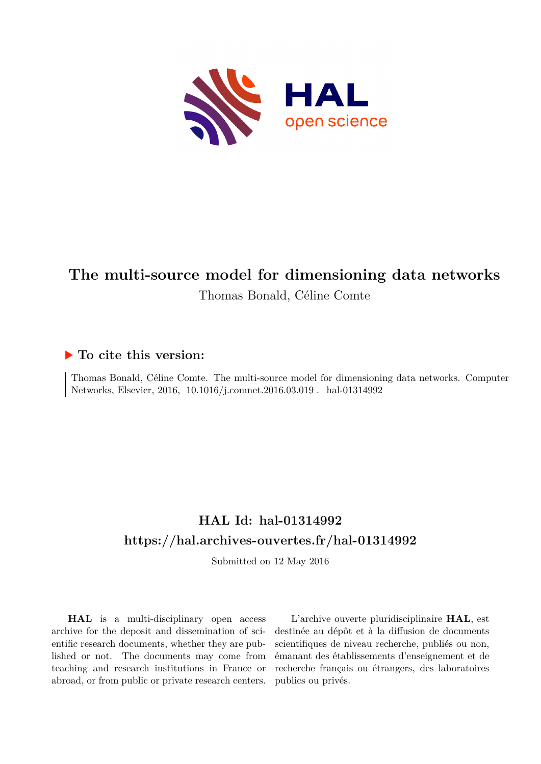

# **The multi-source model for dimensioning data networks** Thomas Bonald, Céline Comte

# **To cite this version:**

Thomas Bonald, Céline Comte. The multi-source model for dimensioning data networks. Computer Networks, Elsevier, 2016, 10.1016/j.comnet.2016.03.019 . hal-01314992

# **HAL Id: hal-01314992 <https://hal.archives-ouvertes.fr/hal-01314992>**

Submitted on 12 May 2016

**HAL** is a multi-disciplinary open access archive for the deposit and dissemination of scientific research documents, whether they are published or not. The documents may come from teaching and research institutions in France or abroad, or from public or private research centers.

L'archive ouverte pluridisciplinaire **HAL**, est destinée au dépôt et à la diffusion de documents scientifiques de niveau recherche, publiés ou non, émanant des établissements d'enseignement et de recherche français ou étrangers, des laboratoires publics ou privés.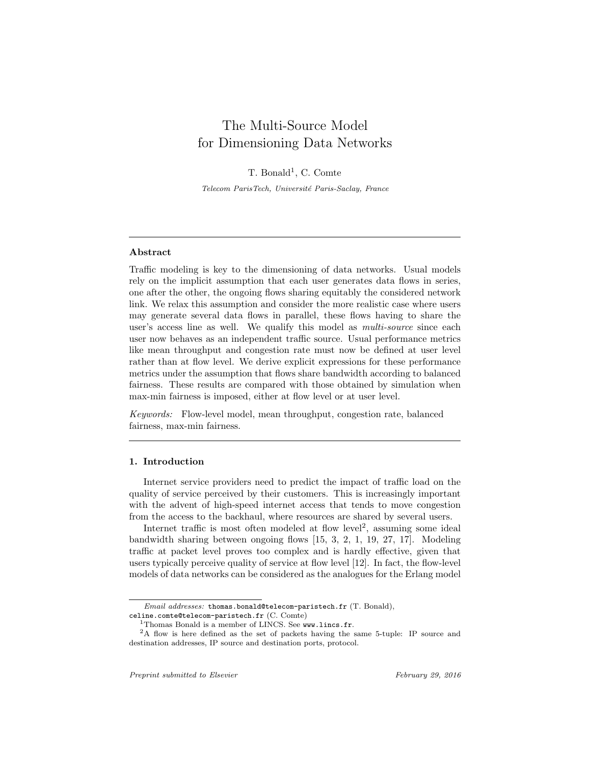# The Multi-Source Model for Dimensioning Data Networks

T. Bonald<sup>1</sup>, C. Comte

Telecom ParisTech, Université Paris-Saclay, France

# Abstract

Traffic modeling is key to the dimensioning of data networks. Usual models rely on the implicit assumption that each user generates data flows in series, one after the other, the ongoing flows sharing equitably the considered network link. We relax this assumption and consider the more realistic case where users may generate several data flows in parallel, these flows having to share the user's access line as well. We qualify this model as multi-source since each user now behaves as an independent traffic source. Usual performance metrics like mean throughput and congestion rate must now be defined at user level rather than at flow level. We derive explicit expressions for these performance metrics under the assumption that flows share bandwidth according to balanced fairness. These results are compared with those obtained by simulation when max-min fairness is imposed, either at flow level or at user level.

Keywords: Flow-level model, mean throughput, congestion rate, balanced fairness, max-min fairness.

## 1. Introduction

Internet service providers need to predict the impact of traffic load on the quality of service perceived by their customers. This is increasingly important with the advent of high-speed internet access that tends to move congestion from the access to the backhaul, where resources are shared by several users.

Internet traffic is most often modeled at flow  $level^2$ , assuming some ideal bandwidth sharing between ongoing flows [15, 3, 2, 1, 19, 27, 17]. Modeling traffic at packet level proves too complex and is hardly effective, given that users typically perceive quality of service at flow level [12]. In fact, the flow-level models of data networks can be considered as the analogues for the Erlang model

Email addresses: thomas.bonald@telecom-paristech.fr (T. Bonald),

celine.comte@telecom-paristech.fr (C. Comte)

<sup>&</sup>lt;sup>1</sup>Thomas Bonald is a member of LINCS. See www.lincs.fr.

<sup>2</sup>A flow is here defined as the set of packets having the same 5-tuple: IP source and destination addresses, IP source and destination ports, protocol.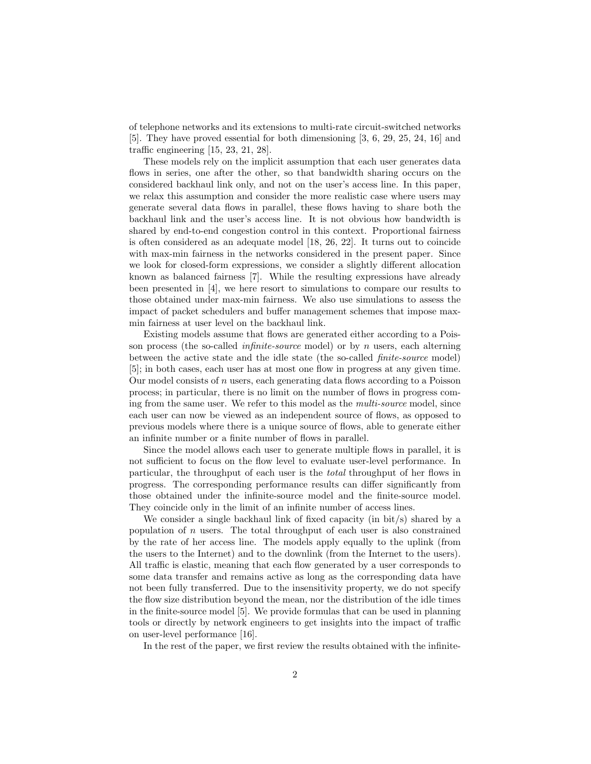of telephone networks and its extensions to multi-rate circuit-switched networks [5]. They have proved essential for both dimensioning [3, 6, 29, 25, 24, 16] and traffic engineering [15, 23, 21, 28].

These models rely on the implicit assumption that each user generates data flows in series, one after the other, so that bandwidth sharing occurs on the considered backhaul link only, and not on the user's access line. In this paper, we relax this assumption and consider the more realistic case where users may generate several data flows in parallel, these flows having to share both the backhaul link and the user's access line. It is not obvious how bandwidth is shared by end-to-end congestion control in this context. Proportional fairness is often considered as an adequate model [18, 26, 22]. It turns out to coincide with max-min fairness in the networks considered in the present paper. Since we look for closed-form expressions, we consider a slightly different allocation known as balanced fairness [7]. While the resulting expressions have already been presented in [4], we here resort to simulations to compare our results to those obtained under max-min fairness. We also use simulations to assess the impact of packet schedulers and buffer management schemes that impose maxmin fairness at user level on the backhaul link.

Existing models assume that flows are generated either according to a Poisson process (the so-called *infinite-source* model) or by n users, each alterning between the active state and the idle state (the so-called finite-source model) [5]; in both cases, each user has at most one flow in progress at any given time. Our model consists of  $n$  users, each generating data flows according to a Poisson process; in particular, there is no limit on the number of flows in progress coming from the same user. We refer to this model as the multi-source model, since each user can now be viewed as an independent source of flows, as opposed to previous models where there is a unique source of flows, able to generate either an infinite number or a finite number of flows in parallel.

Since the model allows each user to generate multiple flows in parallel, it is not sufficient to focus on the flow level to evaluate user-level performance. In particular, the throughput of each user is the total throughput of her flows in progress. The corresponding performance results can differ significantly from those obtained under the infinite-source model and the finite-source model. They coincide only in the limit of an infinite number of access lines.

We consider a single backhaul link of fixed capacity (in  $bit/s$ ) shared by a population of  $n$  users. The total throughput of each user is also constrained by the rate of her access line. The models apply equally to the uplink (from the users to the Internet) and to the downlink (from the Internet to the users). All traffic is elastic, meaning that each flow generated by a user corresponds to some data transfer and remains active as long as the corresponding data have not been fully transferred. Due to the insensitivity property, we do not specify the flow size distribution beyond the mean, nor the distribution of the idle times in the finite-source model [5]. We provide formulas that can be used in planning tools or directly by network engineers to get insights into the impact of traffic on user-level performance [16].

In the rest of the paper, we first review the results obtained with the infinite-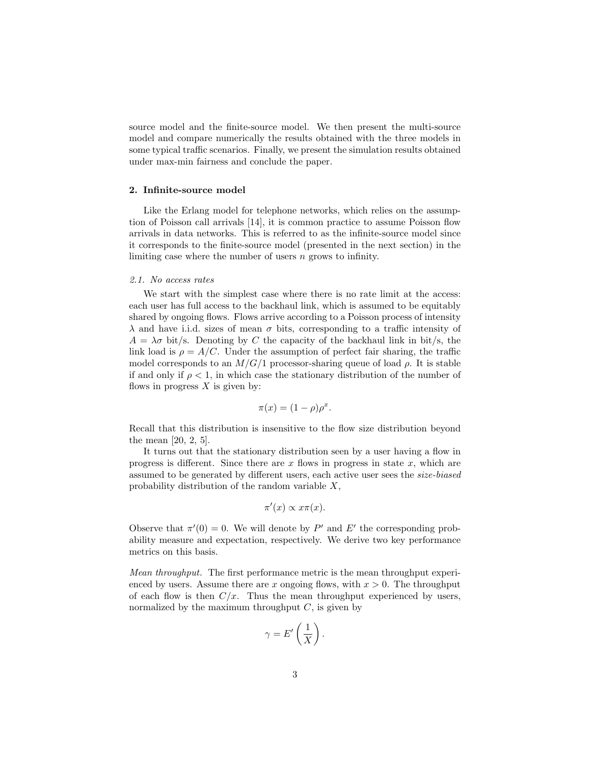source model and the finite-source model. We then present the multi-source model and compare numerically the results obtained with the three models in some typical traffic scenarios. Finally, we present the simulation results obtained under max-min fairness and conclude the paper.

#### 2. Infinite-source model

Like the Erlang model for telephone networks, which relies on the assumption of Poisson call arrivals [14], it is common practice to assume Poisson flow arrivals in data networks. This is referred to as the infinite-source model since it corresponds to the finite-source model (presented in the next section) in the limiting case where the number of users n grows to infinity.

# 2.1. No access rates

We start with the simplest case where there is no rate limit at the access: each user has full access to the backhaul link, which is assumed to be equitably shared by ongoing flows. Flows arrive according to a Poisson process of intensity  $\lambda$  and have i.i.d. sizes of mean  $\sigma$  bits, corresponding to a traffic intensity of  $A = \lambda \sigma$  bit/s. Denoting by C the capacity of the backhaul link in bit/s, the link load is  $\rho = A/C$ . Under the assumption of perfect fair sharing, the traffic model corresponds to an  $M/G/1$  processor-sharing queue of load  $\rho$ . It is stable if and only if  $\rho < 1$ , in which case the stationary distribution of the number of flows in progress  $X$  is given by:

$$
\pi(x) = (1 - \rho)\rho^x.
$$

Recall that this distribution is insensitive to the flow size distribution beyond the mean [20, 2, 5].

It turns out that the stationary distribution seen by a user having a flow in progress is different. Since there are  $x$  flows in progress in state  $x$ , which are assumed to be generated by different users, each active user sees the size-biased probability distribution of the random variable  $X$ ,

$$
\pi'(x) \propto x\pi(x).
$$

Observe that  $\pi'(0) = 0$ . We will denote by P' and E' the corresponding probability measure and expectation, respectively. We derive two key performance metrics on this basis.

Mean throughput. The first performance metric is the mean throughput experienced by users. Assume there are x ongoing flows, with  $x > 0$ . The throughput of each flow is then  $C/x$ . Thus the mean throughput experienced by users, normalized by the maximum throughput  $C$ , is given by

$$
\gamma = E' \left( \frac{1}{X} \right).
$$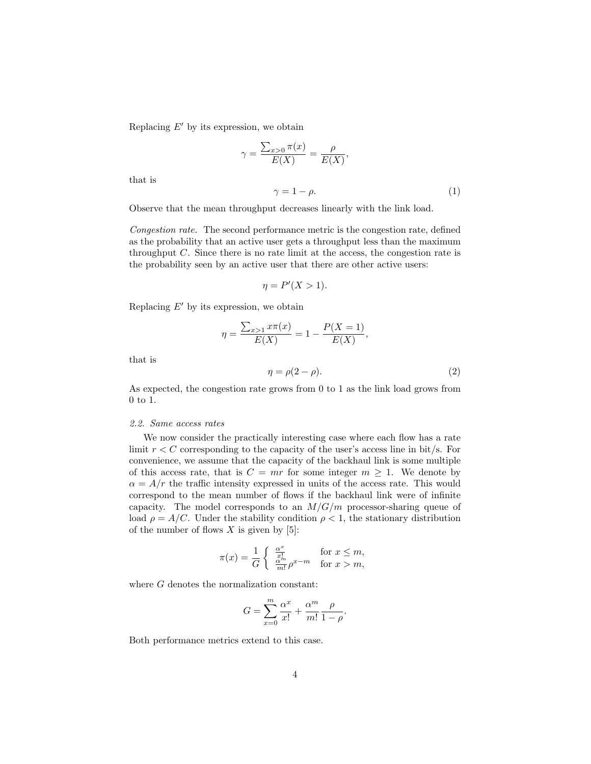Replacing  $E'$  by its expression, we obtain

$$
\gamma = \frac{\sum_{x>0} \pi(x)}{E(X)} = \frac{\rho}{E(X)},
$$

that is

$$
\gamma = 1 - \rho. \tag{1}
$$

Observe that the mean throughput decreases linearly with the link load.

Congestion rate. The second performance metric is the congestion rate, defined as the probability that an active user gets a throughput less than the maximum throughput C. Since there is no rate limit at the access, the congestion rate is the probability seen by an active user that there are other active users:

$$
\eta = P'(X > 1).
$$

Replacing  $E'$  by its expression, we obtain

$$
\eta = \frac{\sum_{x>1} x\pi(x)}{E(X)} = 1 - \frac{P(X=1)}{E(X)},
$$
  

$$
\eta = \rho(2-\rho).
$$
 (2)

that is

As expected, the congestion rate grows from 0 to 1 as the link load grows from 0 to 1. 
$$
\,
$$

#### 2.2. Same access rates

We now consider the practically interesting case where each flow has a rate limit  $r < C$  corresponding to the capacity of the user's access line in bit/s. For convenience, we assume that the capacity of the backhaul link is some multiple of this access rate, that is  $C = mr$  for some integer  $m \geq 1$ . We denote by  $\alpha = A/r$  the traffic intensity expressed in units of the access rate. This would correspond to the mean number of flows if the backhaul link were of infinite capacity. The model corresponds to an  $M/G/m$  processor-sharing queue of load  $\rho = A/C$ . Under the stability condition  $\rho < 1$ , the stationary distribution of the number of flows  $X$  is given by [5]:

$$
\pi(x) = \frac{1}{G} \begin{cases} \frac{\alpha^x}{x!} & \text{for } x \le m, \\ \frac{\alpha^m}{m!} \rho^{x-m} & \text{for } x > m, \end{cases}
$$

where G denotes the normalization constant:

$$
G = \sum_{x=0}^{m} \frac{\alpha^x}{x!} + \frac{\alpha^m}{m!} \frac{\rho}{1-\rho}.
$$

Both performance metrics extend to this case.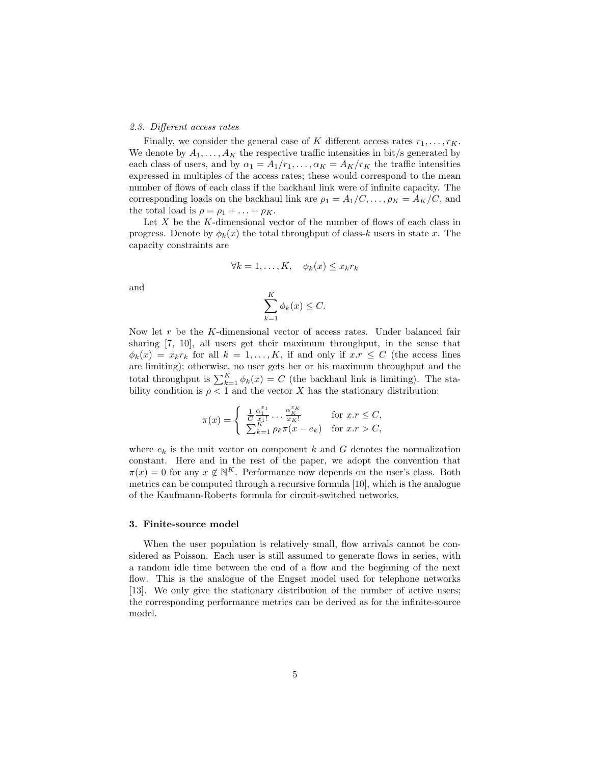#### 2.3. Different access rates

Finally, we consider the general case of K different access rates  $r_1, \ldots, r_K$ . We denote by  $A_1, \ldots, A_K$  the respective traffic intensities in bit/s generated by each class of users, and by  $\alpha_1 = A_1/r_1, \ldots, \alpha_K = A_K/r_K$  the traffic intensities expressed in multiples of the access rates; these would correspond to the mean number of flows of each class if the backhaul link were of infinite capacity. The corresponding loads on the backhaul link are  $\rho_1 = A_1/C, \ldots, \rho_K = A_K/C$ , and the total load is  $\rho = \rho_1 + \ldots + \rho_K$ .

Let  $X$  be the  $K$ -dimensional vector of the number of flows of each class in progress. Denote by  $\phi_k(x)$  the total throughput of class-k users in state x. The capacity constraints are

$$
\forall k = 1, \dots, K, \quad \phi_k(x) \le x_k r_k
$$

and

$$
\sum_{k=1}^{K} \phi_k(x) \le C.
$$

Now let r be the K-dimensional vector of access rates. Under balanced fair sharing [7, 10], all users get their maximum throughput, in the sense that  $\phi_k(x) = x_k r_k$  for all  $k = 1, ..., K$ , if and only if  $x r \leq C$  (the access lines are limiting); otherwise, no user gets her or his maximum throughput and the total throughput is  $\sum_{k=1}^{K} \phi_k(x) = C$  (the backhaul link is limiting). The stability condition is  $\rho < 1$  and the vector X has the stationary distribution:

$$
\pi(x) = \begin{cases} \frac{1}{G} \frac{\alpha_1^{x_1}}{x_1!} \cdots \frac{\alpha_K^{x_K}}{x_K!} & \text{for } x.r \le C, \\ \sum_{k=1}^K \rho_k \pi(x - e_k) & \text{for } x.r > C, \end{cases}
$$

where  $e_k$  is the unit vector on component k and G denotes the normalization constant. Here and in the rest of the paper, we adopt the convention that  $\pi(x) = 0$  for any  $x \notin \mathbb{N}^K$ . Performance now depends on the user's class. Both metrics can be computed through a recursive formula [10], which is the analogue of the Kaufmann-Roberts formula for circuit-switched networks.

## 3. Finite-source model

When the user population is relatively small, flow arrivals cannot be considered as Poisson. Each user is still assumed to generate flows in series, with a random idle time between the end of a flow and the beginning of the next flow. This is the analogue of the Engset model used for telephone networks [13]. We only give the stationary distribution of the number of active users; the corresponding performance metrics can be derived as for the infinite-source model.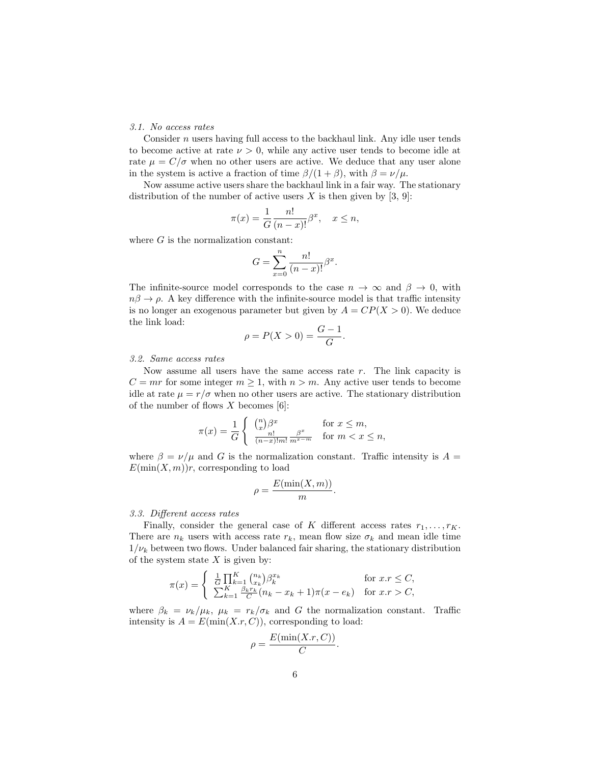## 3.1. No access rates

Consider  $n$  users having full access to the backhaul link. Any idle user tends to become active at rate  $\nu > 0$ , while any active user tends to become idle at rate  $\mu = C/\sigma$  when no other users are active. We deduce that any user alone in the system is active a fraction of time  $\beta/(1+\beta)$ , with  $\beta = \nu/\mu$ .

Now assume active users share the backhaul link in a fair way. The stationary distribution of the number of active users  $X$  is then given by [3, 9]:

$$
\pi(x) = \frac{1}{G} \frac{n!}{(n-x)!} \beta^x, \quad x \le n,
$$

where  $G$  is the normalization constant:

$$
G = \sum_{x=0}^{n} \frac{n!}{(n-x)!} \beta^x.
$$

The infinite-source model corresponds to the case  $n \to \infty$  and  $\beta \to 0$ , with  $n\beta \rightarrow \rho$ . A key difference with the infinite-source model is that traffic intensity is no longer an exogenous parameter but given by  $A = CP(X > 0)$ . We deduce the link load:

$$
\rho = P(X > 0) = \frac{G - 1}{G}.
$$

#### 3.2. Same access rates

Now assume all users have the same access rate  $r$ . The link capacity is  $C = mr$  for some integer  $m \geq 1$ , with  $n > m$ . Any active user tends to become idle at rate  $\mu = r/\sigma$  when no other users are active. The stationary distribution of the number of flows  $X$  becomes [6]:

$$
\pi(x) = \frac{1}{G} \begin{cases} \n\binom{n}{x} \beta^x & \text{for } x \le m, \\ \n\frac{n!}{(n-x)!m!} \frac{\beta^x}{m^x - m} & \text{for } m < x \le n, \n\end{cases}
$$

where  $\beta = \nu/\mu$  and G is the normalization constant. Traffic intensity is  $A =$  $E(\min(X,m))r$ , corresponding to load

$$
\rho = \frac{E(\min(X, m))}{m}
$$

.

3.3. Different access rates

Finally, consider the general case of K different access rates  $r_1, \ldots, r_K$ . There are  $n_k$  users with access rate  $r_k$ , mean flow size  $\sigma_k$  and mean idle time  $1/\nu_k$  between two flows. Under balanced fair sharing, the stationary distribution of the system state  $X$  is given by:

$$
\pi(x) = \begin{cases} \frac{1}{G} \prod_{k=1}^{K} {n_k \choose x_k} \beta_k^{x_k} & \text{for } x, r \leq C, \\ \sum_{k=1}^{K} \frac{\beta_k r_k}{C} (n_k - x_k + 1) \pi(x - e_k) & \text{for } x, r > C, \end{cases}
$$

where  $\beta_k = \nu_k/\mu_k$ ,  $\mu_k = r_k/\sigma_k$  and G the normalization constant. Traffic intensity is  $A = E(\min(X.r, C))$ , corresponding to load:

$$
\rho = \frac{E(\min(X.r, C))}{C}.
$$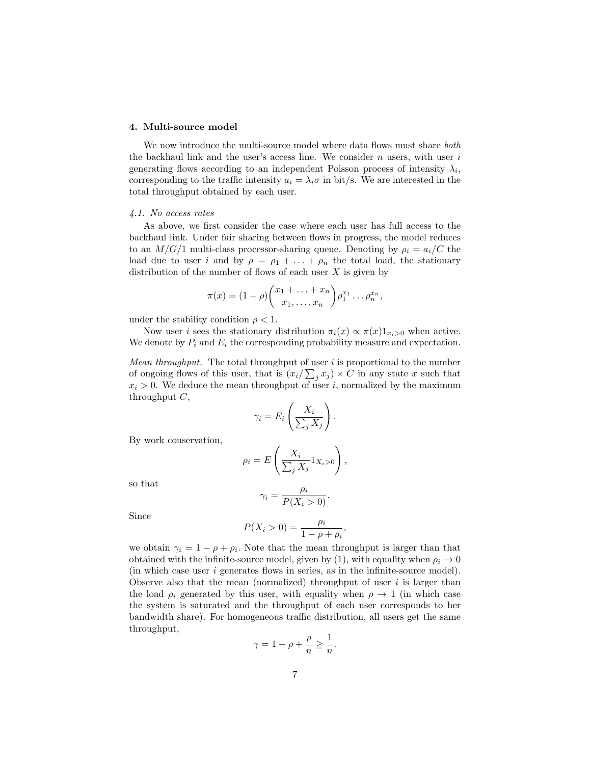#### 4. Multi-source model

We now introduce the multi-source model where data flows must share *both* the backhaul link and the user's access line. We consider  $n$  users, with user  $i$ generating flows according to an independent Poisson process of intensity  $\lambda_i$ , corresponding to the traffic intensity  $a_i = \lambda_i \sigma$  in bit/s. We are interested in the total throughput obtained by each user.

## 4.1. No access rates

As above, we first consider the case where each user has full access to the backhaul link. Under fair sharing between flows in progress, the model reduces to an  $M/G/1$  multi-class processor-sharing queue. Denoting by  $\rho_i = a_i/C$  the load due to user i and by  $\rho = \rho_1 + \ldots + \rho_n$  the total load, the stationary distribution of the number of flows of each user  $X$  is given by

$$
\pi(x) = (1 - \rho) \binom{x_1 + \ldots + x_n}{x_1, \ldots, x_n} \rho_1^{x_1} \ldots \rho_n^{x_n},
$$

under the stability condition  $\rho < 1$ .

Now user *i* sees the stationary distribution  $\pi_i(x) \propto \pi(x) 1_{x_i>0}$  when active. We denote by  $P_i$  and  $E_i$  the corresponding probability measure and expectation.

*Mean throughput.* The total throughput of user  $i$  is proportional to the number of ongoing flows of this user, that is  $(x_i/\sum_j x_j) \times C$  in any state x such that  $x_i > 0$ . We deduce the mean throughput of user i, normalized by the maximum throughput  $C$ ,

$$
\gamma_i = E_i \left( \frac{X_i}{\sum_j X_j} \right).
$$

By work conservation,

$$
\rho_i = E\left(\frac{X_i}{\sum_j X_j} 1_{X_i > 0}\right),\,
$$

so that

$$
\gamma_i = \frac{\rho_i}{P(X_i > 0)}.
$$

Since

$$
P(X_i > 0) = \frac{\rho_i}{1 - \rho + \rho_i},
$$

we obtain  $\gamma_i = 1 - \rho + \rho_i$ . Note that the mean throughput is larger than that obtained with the infinite-source model, given by (1), with equality when  $\rho_i \rightarrow 0$ (in which case user  $i$  generates flows in series, as in the infinite-source model). Observe also that the mean (normalized) throughput of user  $i$  is larger than the load  $\rho_i$  generated by this user, with equality when  $\rho \rightarrow 1$  (in which case the system is saturated and the throughput of each user corresponds to her bandwidth share). For homogeneous traffic distribution, all users get the same throughput,

$$
\gamma = 1 - \rho + \frac{\rho}{n} \ge \frac{1}{n}.
$$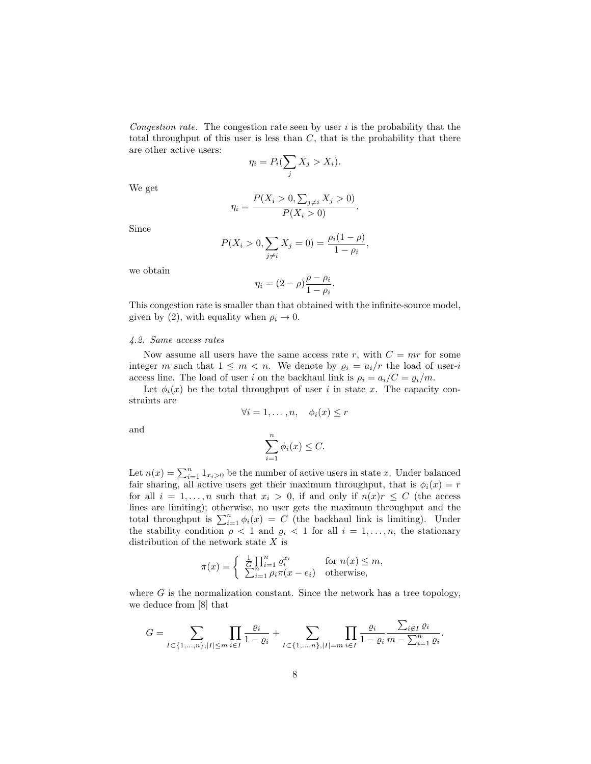Congestion rate. The congestion rate seen by user  $i$  is the probability that the total throughput of this user is less than  $C$ , that is the probability that there are other active users:

$$
\eta_i = P_i(\sum_j X_j > X_i).
$$

We get

$$
\eta_i = \frac{P(X_i > 0, \sum_{j \neq i} X_j > 0)}{P(X_i > 0)}.
$$

Since

$$
P(X_i > 0, \sum_{j \neq i} X_j = 0) = \frac{\rho_i (1 - \rho)}{1 - \rho_i},
$$

we obtain

$$
\eta_i = (2 - \rho) \frac{\rho - \rho_i}{1 - \rho_i}.
$$

This congestion rate is smaller than that obtained with the infinite-source model, given by (2), with equality when  $\rho_i \to 0$ .

#### 4.2. Same access rates

Now assume all users have the same access rate r, with  $C = mr$  for some integer m such that  $1 \leq m < n$ . We denote by  $\rho_i = a_i/r$  the load of user-i access line. The load of user i on the backhaul link is  $\rho_i = a_i/C = \rho_i/m$ .

Let  $\phi_i(x)$  be the total throughput of user i in state x. The capacity constraints are

$$
\forall i = 1, \dots, n, \quad \phi_i(x) \le r
$$

and

$$
\sum_{i=1}^{n} \phi_i(x) \leq C.
$$

Let  $n(x) = \sum_{i=1}^{n} 1_{x_i>0}$  be the number of active users in state x. Under balanced fair sharing, all active users get their maximum throughput, that is  $\phi_i(x) = r$ for all  $i = 1, ..., n$  such that  $x_i > 0$ , if and only if  $n(x)r \leq C$  (the access lines are limiting); otherwise, no user gets the maximum throughput and the total throughput is  $\sum_{i=1}^{n} \phi_i(x) = C$  (the backhaul link is limiting). Under the stability condition  $\rho < 1$  and  $\rho_i < 1$  for all  $i = 1, \ldots, n$ , the stationary distribution of the network state  $X$  is

$$
\pi(x) = \begin{cases} \frac{1}{G} \prod_{i=1}^{n} \varrho_i^{x_i} & \text{for } n(x) \le m, \\ \sum_{i=1}^{n} \rho_i \pi(x - e_i) & \text{otherwise,} \end{cases}
$$

where  $G$  is the normalization constant. Since the network has a tree topology, we deduce from [8] that

$$
G = \sum_{I \subset \{1, \dots, n\}, |I| \le m} \prod_{i \in I} \frac{\varrho_i}{1 - \varrho_i} + \sum_{I \subset \{1, \dots, n\}, |I| = m} \prod_{i \in I} \frac{\varrho_i}{1 - \varrho_i} \frac{\sum_{i \notin I} \varrho_i}{m - \sum_{i=1}^n \varrho_i}.
$$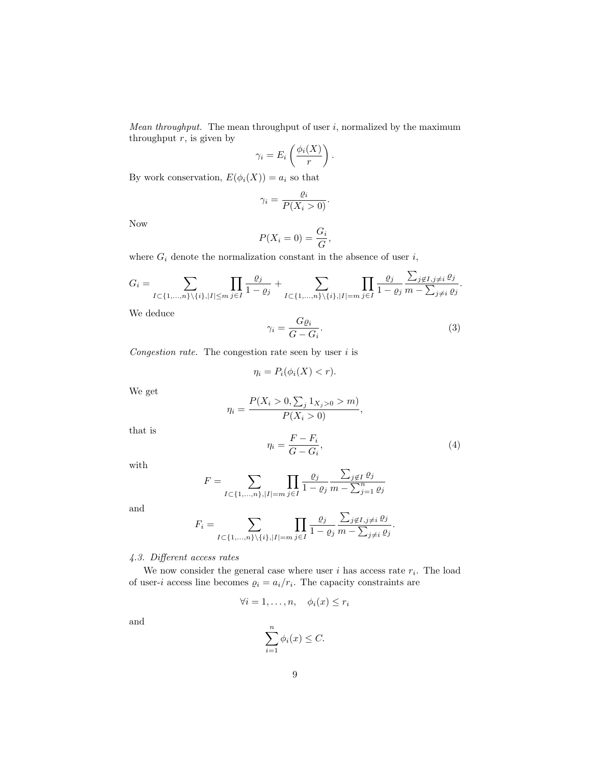*Mean throughput.* The mean throughput of user  $i$ , normalized by the maximum throughput  $r$ , is given by

$$
\gamma_i = E_i \left( \frac{\phi_i(X)}{r} \right)
$$

.

By work conservation,  $E(\phi_i(X)) = a_i$  so that

$$
\gamma_i = \frac{\varrho_i}{P(X_i > 0)}.
$$

Now

$$
P(X_i = 0) = \frac{G_i}{G},
$$

where  $G_i$  denote the normalization constant in the absence of user  $i$ ,

$$
G_i = \sum_{I \subset \{1,\ldots,n\}\setminus\{i\},|I| \leq m} \prod_{j \in I} \frac{\varrho_j}{1-\varrho_j} + \sum_{I \subset \{1,\ldots,n\}\setminus\{i\},|I|=m} \prod_{j \in I} \frac{\varrho_j}{1-\varrho_j} \frac{\sum_{j \notin I, j \neq i} \varrho_j}{m - \sum_{j \neq i} \varrho_j}.
$$

We deduce

$$
\gamma_i = \frac{G\varrho_i}{G - G_i}.\tag{3}
$$

Congestion rate. The congestion rate seen by user  $i$  is

$$
\eta_i = P_i(\phi_i(X) < r).
$$

We get

$$
\eta_i = \frac{P(X_i > 0, \sum_j 1_{X_j > 0} > m)}{P(X_i > 0)},
$$

that is

$$
\eta_i = \frac{F - F_i}{G - G_i},\tag{4}
$$

with

$$
F = \sum_{I \subset \{1,\dots,n\},|I|=m} \prod_{j \in I} \frac{\varrho_j}{1-\varrho_j} \frac{\sum_{j \notin I} \varrho_j}{m - \sum_{j=1}^n \varrho_j}
$$

and

$$
F_i = \sum_{I \subset \{1,\ldots,n\} \setminus \{i\}, |I| = m} \prod_{j \in I} \frac{\varrho_j}{1 - \varrho_j} \frac{\sum_{j \notin I, j \neq i} \varrho_j}{m - \sum_{j \neq i} \varrho_j}.
$$

# 4.3. Different access rates

We now consider the general case where user  $i$  has access rate  $r_i$ . The load of user-i access line becomes  $\rho_i = a_i/r_i$ . The capacity constraints are

$$
\forall i=1,\ldots,n,\quad \phi_i(x)\leq r_i
$$

and

$$
\sum_{i=1}^{n} \phi_i(x) \le C.
$$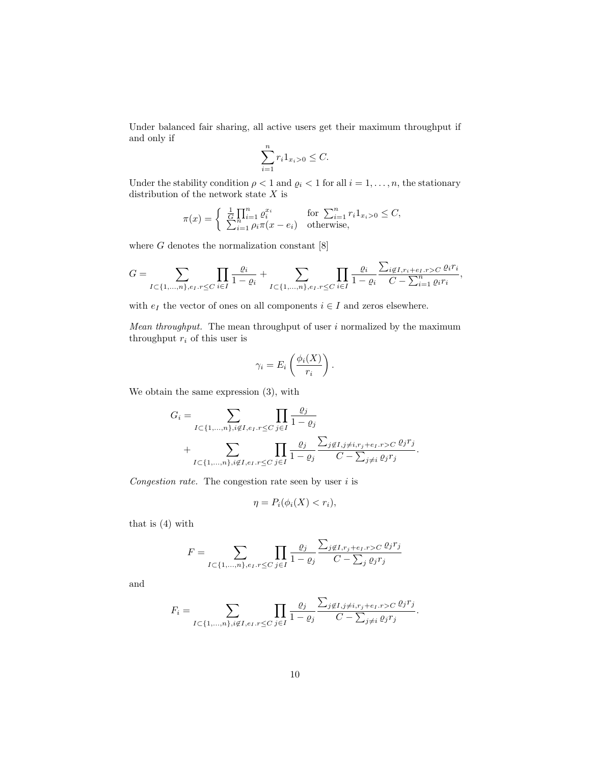Under balanced fair sharing, all active users get their maximum throughput if and only if

$$
\sum_{i=1}^{n} r_i 1_{x_i>0} \le C.
$$

Under the stability condition  $\rho < 1$  and  $\varrho_i < 1$  for all  $i = 1, \ldots, n$ , the stationary distribution of the network state  $X$  is

$$
\pi(x) = \begin{cases} \frac{1}{G} \prod_{i=1}^{n} \varrho_i^{x_i} & \text{for } \sum_{i=1}^{n} r_i 1_{x_i>0} \le C, \\ \sum_{i=1}^{n} \varrho_i \pi(x - e_i) & \text{otherwise,} \end{cases}
$$

where  $G$  denotes the normalization constant  $[8]$ 

$$
G = \sum_{I \subset \{1, \dots, n\}, e_I, r \le C} \prod_{i \in I} \frac{\varrho_i}{1 - \varrho_i} + \sum_{I \subset \{1, \dots, n\}, e_I, r \le C} \prod_{i \in I} \frac{\varrho_i}{1 - \varrho_i} \frac{\sum_{i \notin I, r_i + e_I, r > C} \varrho_i r_i}{C - \sum_{i=1}^n \varrho_i r_i},
$$

with  $e_I$  the vector of ones on all components  $i \in I$  and zeros elsewhere.

Mean throughput. The mean throughput of user  $i$  normalized by the maximum throughput  $r_i$  of this user is

$$
\gamma_i = E_i \left( \frac{\phi_i(X)}{r_i} \right).
$$

We obtain the same expression (3), with

$$
G_i = \sum_{I \subset \{1,\ldots,n\}, i \notin I, e_I, r \leq C} \prod_{j \in I} \frac{\varrho_j}{1 - \varrho_j} + \sum_{I \subset \{1,\ldots,n\}, i \notin I, e_I, r \leq C} \prod_{j \in I} \frac{\varrho_j}{1 - \varrho_j} \frac{\sum_j \varrho_{I,j} \neq i, r_j + e_I, r > C} \varrho_j r_j}{C - \sum_{j \neq i} \varrho_j r_j}.
$$

Congestion rate. The congestion rate seen by user  $i$  is

$$
\eta = P_i(\phi_i(X) < r_i),
$$

that is (4) with

$$
F = \sum_{I \subset \{1,\dots,n\}, e_I, r \leq C} \prod_{j \in I} \frac{\varrho_j}{1 - \varrho_j} \frac{\sum_{j \notin I, r_j + e_I, r > C} \varrho_j r_j}{C - \sum_j \varrho_j r_j}
$$

and

$$
F_i = \sum_{I \subset \{1,\ldots,n\}, i \notin I, e_I, r \le C} \prod_{j \in I} \frac{\varrho_j}{1 - \varrho_j} \frac{\sum_{j \notin I, j \ne i, r_j + e_I, r > C} \varrho_j r_j}{C - \sum_{j \ne i} \varrho_j r_j}.
$$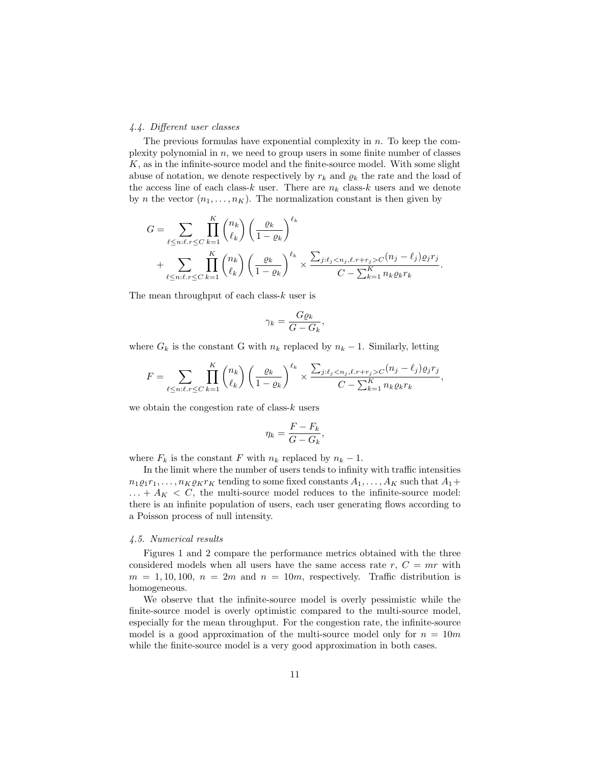#### 4.4. Different user classes

The previous formulas have exponential complexity in  $n$ . To keep the complexity polynomial in n, we need to group users in some finite number of classes  $K$ , as in the infinite-source model and the finite-source model. With some slight abuse of notation, we denote respectively by  $r_k$  and  $\rho_k$  the rate and the load of the access line of each class-k user. There are  $n_k$  class-k users and we denote by *n* the vector  $(n_1, \ldots, n_K)$ . The normalization constant is then given by

$$
G = \sum_{\ell \le n:\ell,r \le C} \prod_{k=1}^K {n_k \choose \ell_k} \left(\frac{\varrho_k}{1-\varrho_k}\right)^{\ell_k} + \sum_{\ell \le n:\ell,r \le C} \prod_{k=1}^K {n_k \choose \ell_k} \left(\frac{\varrho_k}{1-\varrho_k}\right)^{\ell_k} \times \frac{\sum_{j:\ell_j < n_j,\ell,r+r_j > C} (n_j - \ell_j) \varrho_j r_j}{C - \sum_{k=1}^K n_k \varrho_k r_k}.
$$

The mean throughput of each class- $k$  user is

$$
\gamma_k = \frac{G\varrho_k}{G - G_k},
$$

where  $G_k$  is the constant G with  $n_k$  replaced by  $n_k - 1$ . Similarly, letting

$$
F = \sum_{\ell \leq n:\ell,r \leq C} \prod_{k=1}^K {n_k \choose \ell_k} \left( \frac{\varrho_k}{1 - \varrho_k} \right)^{\ell_k} \times \frac{\sum_{j:\ell_j < n_j, \ell,r+r_j > C} (n_j - \ell_j) \varrho_j r_j}{C - \sum_{k=1}^K n_k \varrho_k r_k},
$$

we obtain the congestion rate of class- $k$  users

$$
\eta_k = \frac{F - F_k}{G - G_k},
$$

where  $F_k$  is the constant F with  $n_k$  replaced by  $n_k - 1$ .

In the limit where the number of users tends to infinity with traffic intensities  $n_1 \varrho_1 r_1, \ldots, n_K \varrho_K r_K$  tending to some fixed constants  $A_1, \ldots, A_K$  such that  $A_1 +$  $... + A_K < C$ , the multi-source model reduces to the infinite-source model: there is an infinite population of users, each user generating flows according to a Poisson process of null intensity.

#### 4.5. Numerical results

Figures 1 and 2 compare the performance metrics obtained with the three considered models when all users have the same access rate  $r, C = mr$  with  $m = 1, 10, 100, n = 2m$  and  $n = 10m$ , respectively. Traffic distribution is homogeneous.

We observe that the infinite-source model is overly pessimistic while the finite-source model is overly optimistic compared to the multi-source model, especially for the mean throughput. For the congestion rate, the infinite-source model is a good approximation of the multi-source model only for  $n = 10m$ while the finite-source model is a very good approximation in both cases.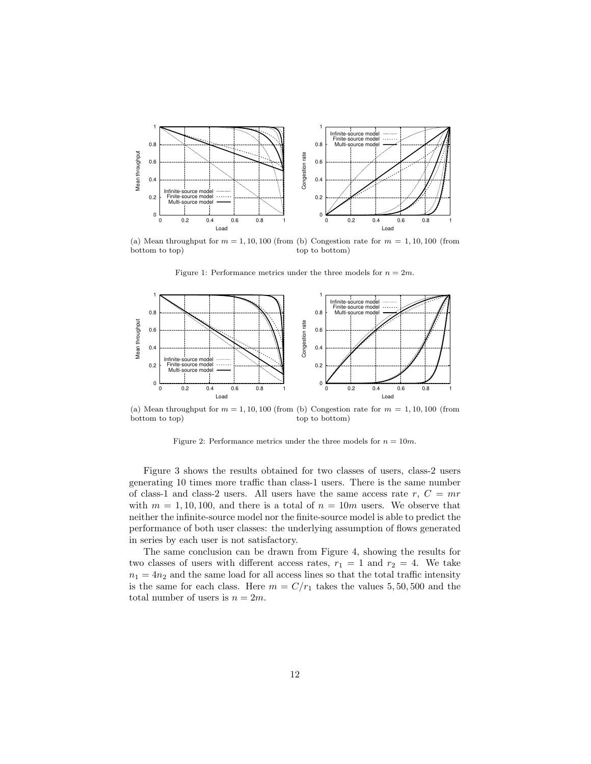

(a) Mean throughput for  $m = 1, 10, 100$  (from (b) Congestion rate for  $m = 1, 10, 100$  (from bottom to top) top to bottom)

Figure 1: Performance metrics under the three models for  $n = 2m$ .



(a) Mean throughput for  $m = 1, 10, 100$  (from (b) Congestion rate for  $m = 1, 10, 100$  (from bottom to top) top to bottom)

Figure 2: Performance metrics under the three models for  $n = 10m$ .

Figure 3 shows the results obtained for two classes of users, class-2 users generating 10 times more traffic than class-1 users. There is the same number of class-1 and class-2 users. All users have the same access rate  $r, C = mr$ with  $m = 1, 10, 100$ , and there is a total of  $n = 10m$  users. We observe that neither the infinite-source model nor the finite-source model is able to predict the performance of both user classes: the underlying assumption of flows generated in series by each user is not satisfactory.

The same conclusion can be drawn from Figure 4, showing the results for two classes of users with different access rates,  $r_1 = 1$  and  $r_2 = 4$ . We take  $n_1 = 4n_2$  and the same load for all access lines so that the total traffic intensity is the same for each class. Here  $m = C/r_1$  takes the values 5, 50, 500 and the total number of users is  $n = 2m$ .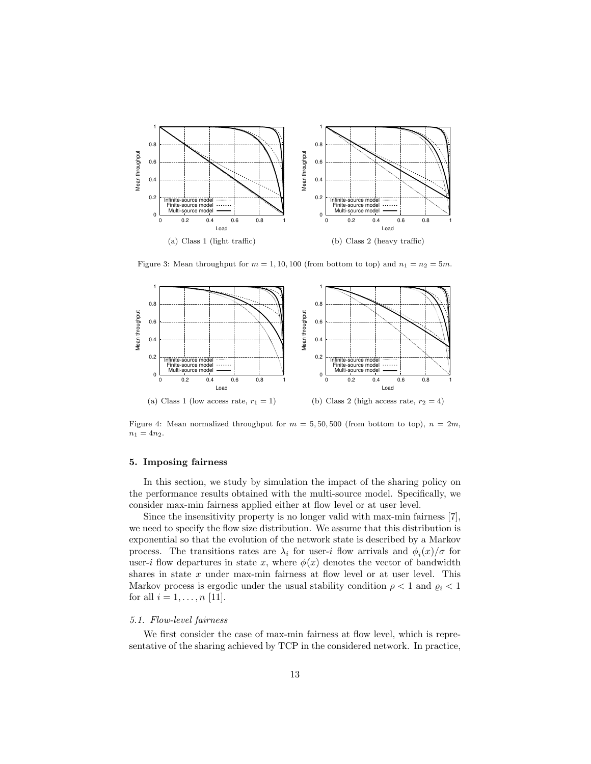

Figure 3: Mean throughput for  $m = 1, 10, 100$  (from bottom to top) and  $n_1 = n_2 = 5m$ .



Figure 4: Mean normalized throughput for  $m = 5, 50, 500$  (from bottom to top),  $n = 2m$ ,  $n_1 = 4n_2.$ 

## 5. Imposing fairness

In this section, we study by simulation the impact of the sharing policy on the performance results obtained with the multi-source model. Specifically, we consider max-min fairness applied either at flow level or at user level.

Since the insensitivity property is no longer valid with max-min fairness [7], we need to specify the flow size distribution. We assume that this distribution is exponential so that the evolution of the network state is described by a Markov process. The transitions rates are  $\lambda_i$  for user-i flow arrivals and  $\phi_i(x)/\sigma$  for user-i flow departures in state x, where  $\phi(x)$  denotes the vector of bandwidth shares in state  $x$  under max-min fairness at flow level or at user level. This Markov process is ergodic under the usual stability condition  $\rho < 1$  and  $\varrho_i < 1$ for all  $i = 1, ..., n$  [11].

# 5.1. Flow-level fairness

We first consider the case of max-min fairness at flow level, which is representative of the sharing achieved by TCP in the considered network. In practice,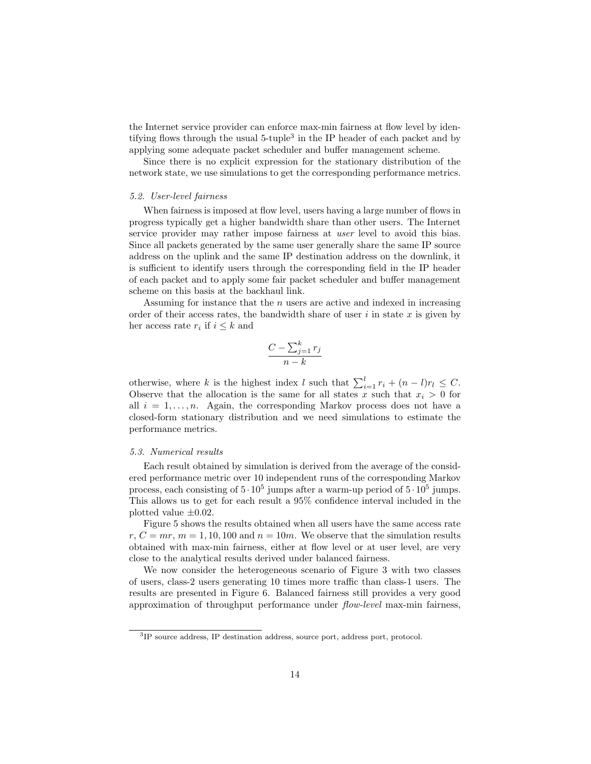the Internet service provider can enforce max-min fairness at flow level by identifying flows through the usual 5-tuple<sup>3</sup> in the IP header of each packet and by applying some adequate packet scheduler and buffer management scheme.

Since there is no explicit expression for the stationary distribution of the network state, we use simulations to get the corresponding performance metrics.

## 5.2. User-level fairness

When fairness is imposed at flow level, users having a large number of flows in progress typically get a higher bandwidth share than other users. The Internet service provider may rather impose fairness at user level to avoid this bias. Since all packets generated by the same user generally share the same IP source address on the uplink and the same IP destination address on the downlink, it is sufficient to identify users through the corresponding field in the IP header of each packet and to apply some fair packet scheduler and buffer management scheme on this basis at the backhaul link.

Assuming for instance that the  $n$  users are active and indexed in increasing order of their access rates, the bandwidth share of user  $i$  in state x is given by her access rate  $r_i$  if  $i \leq k$  and

$$
\frac{C - \sum_{j=1}^{k} r_j}{n - k}
$$

otherwise, where k is the highest index l such that  $\sum_{i=1}^{l} r_i + (n-l)r_l \leq C$ . Observe that the allocation is the same for all states x such that  $x_i > 0$  for all  $i = 1, \ldots, n$ . Again, the corresponding Markov process does not have a closed-form stationary distribution and we need simulations to estimate the performance metrics.

#### 5.3. Numerical results

Each result obtained by simulation is derived from the average of the considered performance metric over 10 independent runs of the corresponding Markov process, each consisting of  $5 \cdot 10^5$  jumps after a warm-up period of  $5 \cdot 10^5$  jumps. This allows us to get for each result a 95% confidence interval included in the plotted value  $\pm 0.02$ .

Figure 5 shows the results obtained when all users have the same access rate  $r, C = mr, m = 1, 10, 100$  and  $n = 10m$ . We observe that the simulation results obtained with max-min fairness, either at flow level or at user level, are very close to the analytical results derived under balanced fairness.

We now consider the heterogeneous scenario of Figure 3 with two classes of users, class-2 users generating 10 times more traffic than class-1 users. The results are presented in Figure 6. Balanced fairness still provides a very good approximation of throughput performance under flow-level max-min fairness,

<sup>3</sup> IP source address, IP destination address, source port, address port, protocol.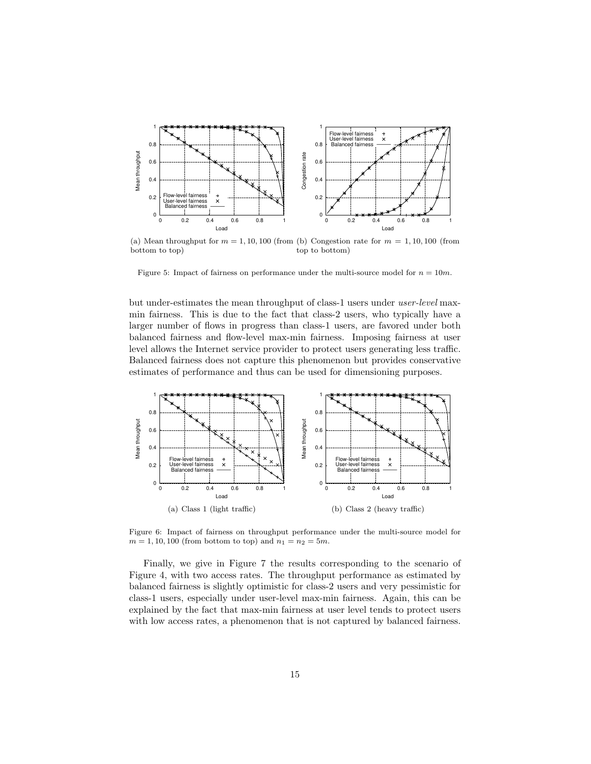

(a) Mean throughput for  $m = 1, 10, 100$  (from (b) Congestion rate for  $m = 1, 10, 100$  (from bottom to top) top to bottom)

Figure 5: Impact of fairness on performance under the multi-source model for  $n = 10m$ .

but under-estimates the mean throughput of class-1 users under user-level maxmin fairness. This is due to the fact that class-2 users, who typically have a larger number of flows in progress than class-1 users, are favored under both balanced fairness and flow-level max-min fairness. Imposing fairness at user level allows the Internet service provider to protect users generating less traffic. Balanced fairness does not capture this phenomenon but provides conservative estimates of performance and thus can be used for dimensioning purposes.



Figure 6: Impact of fairness on throughput performance under the multi-source model for  $m = 1, 10, 100$  (from bottom to top) and  $n_1 = n_2 = 5m$ .

Finally, we give in Figure 7 the results corresponding to the scenario of Figure 4, with two access rates. The throughput performance as estimated by balanced fairness is slightly optimistic for class-2 users and very pessimistic for class-1 users, especially under user-level max-min fairness. Again, this can be explained by the fact that max-min fairness at user level tends to protect users with low access rates, a phenomenon that is not captured by balanced fairness.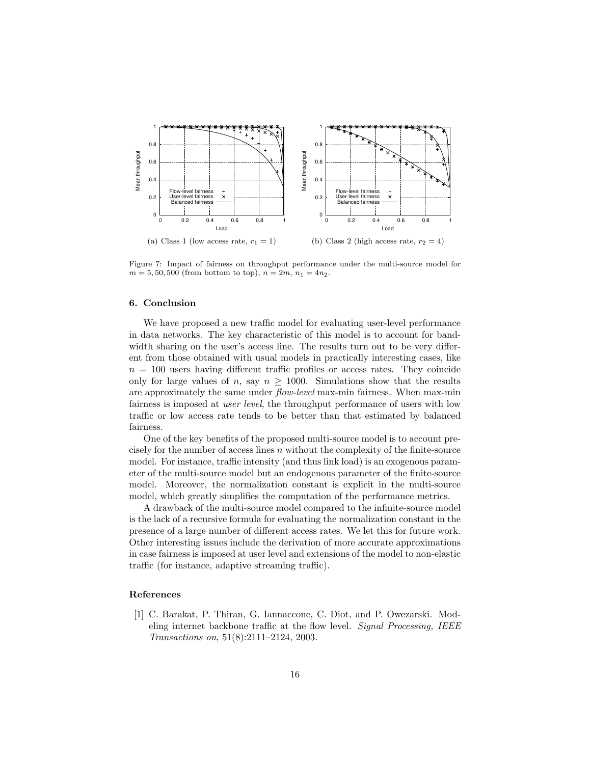

Figure 7: Impact of fairness on throughput performance under the multi-source model for  $m = 5, 50, 500$  (from bottom to top),  $n = 2m, n_1 = 4n_2$ .

# 6. Conclusion

We have proposed a new traffic model for evaluating user-level performance in data networks. The key characteristic of this model is to account for bandwidth sharing on the user's access line. The results turn out to be very different from those obtained with usual models in practically interesting cases, like  $n = 100$  users having different traffic profiles or access rates. They coincide only for large values of n, say  $n \geq 1000$ . Simulations show that the results are approximately the same under flow-level max-min fairness. When max-min fairness is imposed at user level, the throughput performance of users with low traffic or low access rate tends to be better than that estimated by balanced fairness.

One of the key benefits of the proposed multi-source model is to account precisely for the number of access lines  $n$  without the complexity of the finite-source model. For instance, traffic intensity (and thus link load) is an exogenous parameter of the multi-source model but an endogenous parameter of the finite-source model. Moreover, the normalization constant is explicit in the multi-source model, which greatly simplifies the computation of the performance metrics.

A drawback of the multi-source model compared to the infinite-source model is the lack of a recursive formula for evaluating the normalization constant in the presence of a large number of different access rates. We let this for future work. Other interesting issues include the derivation of more accurate approximations in case fairness is imposed at user level and extensions of the model to non-elastic traffic (for instance, adaptive streaming traffic).

# References

[1] C. Barakat, P. Thiran, G. Iannaccone, C. Diot, and P. Owezarski. Modeling internet backbone traffic at the flow level. Signal Processing, IEEE Transactions on, 51(8):2111–2124, 2003.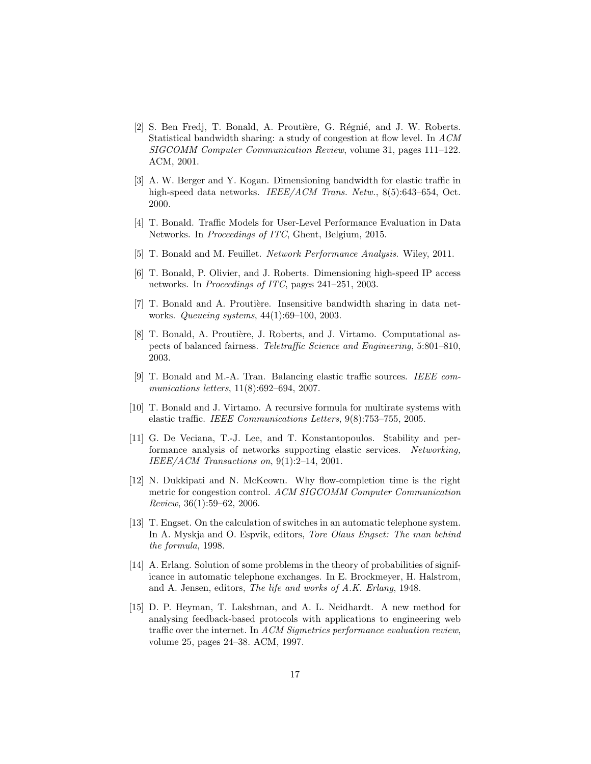- [2] S. Ben Fredj, T. Bonald, A. Proutière, G. Régnié, and J. W. Roberts. Statistical bandwidth sharing: a study of congestion at flow level. In ACM SIGCOMM Computer Communication Review, volume 31, pages 111–122. ACM, 2001.
- [3] A. W. Berger and Y. Kogan. Dimensioning bandwidth for elastic traffic in high-speed data networks. *IEEE/ACM Trans. Netw.*, 8(5):643–654, Oct. 2000.
- [4] T. Bonald. Traffic Models for User-Level Performance Evaluation in Data Networks. In Proceedings of ITC, Ghent, Belgium, 2015.
- [5] T. Bonald and M. Feuillet. Network Performance Analysis. Wiley, 2011.
- [6] T. Bonald, P. Olivier, and J. Roberts. Dimensioning high-speed IP access networks. In Proceedings of ITC, pages 241–251, 2003.
- [7] T. Bonald and A. Proutière. Insensitive bandwidth sharing in data networks. Queueing systems, 44(1):69–100, 2003.
- [8] T. Bonald, A. Proutière, J. Roberts, and J. Virtamo. Computational aspects of balanced fairness. Teletraffic Science and Engineering, 5:801–810, 2003.
- [9] T. Bonald and M.-A. Tran. Balancing elastic traffic sources. IEEE communications letters, 11(8):692–694, 2007.
- [10] T. Bonald and J. Virtamo. A recursive formula for multirate systems with elastic traffic. IEEE Communications Letters, 9(8):753–755, 2005.
- [11] G. De Veciana, T.-J. Lee, and T. Konstantopoulos. Stability and performance analysis of networks supporting elastic services. Networking, IEEE/ACM Transactions on,  $9(1):2-14$ , 2001.
- [12] N. Dukkipati and N. McKeown. Why flow-completion time is the right metric for congestion control. ACM SIGCOMM Computer Communication Review, 36(1):59–62, 2006.
- [13] T. Engset. On the calculation of switches in an automatic telephone system. In A. Myskja and O. Espvik, editors, Tore Olaus Engset: The man behind the formula, 1998.
- [14] A. Erlang. Solution of some problems in the theory of probabilities of significance in automatic telephone exchanges. In E. Brockmeyer, H. Halstrom, and A. Jensen, editors, The life and works of A.K. Erlang, 1948.
- [15] D. P. Heyman, T. Lakshman, and A. L. Neidhardt. A new method for analysing feedback-based protocols with applications to engineering web traffic over the internet. In ACM Sigmetrics performance evaluation review, volume 25, pages 24–38. ACM, 1997.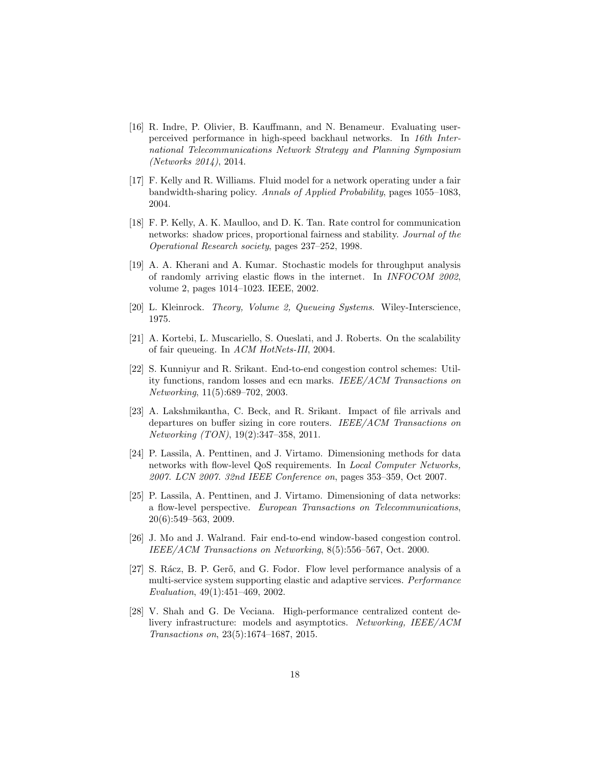- [16] R. Indre, P. Olivier, B. Kauffmann, and N. Benameur. Evaluating userperceived performance in high-speed backhaul networks. In 16th International Telecommunications Network Strategy and Planning Symposium (Networks 2014), 2014.
- [17] F. Kelly and R. Williams. Fluid model for a network operating under a fair bandwidth-sharing policy. Annals of Applied Probability, pages 1055–1083, 2004.
- [18] F. P. Kelly, A. K. Maulloo, and D. K. Tan. Rate control for communication networks: shadow prices, proportional fairness and stability. Journal of the Operational Research society, pages 237–252, 1998.
- [19] A. A. Kherani and A. Kumar. Stochastic models for throughput analysis of randomly arriving elastic flows in the internet. In INFOCOM 2002, volume 2, pages 1014–1023. IEEE, 2002.
- [20] L. Kleinrock. *Theory, Volume 2, Queueing Systems*. Wiley-Interscience, 1975.
- [21] A. Kortebi, L. Muscariello, S. Oueslati, and J. Roberts. On the scalability of fair queueing. In ACM HotNets-III, 2004.
- [22] S. Kunniyur and R. Srikant. End-to-end congestion control schemes: Utility functions, random losses and ecn marks. IEEE/ACM Transactions on Networking, 11(5):689–702, 2003.
- [23] A. Lakshmikantha, C. Beck, and R. Srikant. Impact of file arrivals and departures on buffer sizing in core routers. IEEE/ACM Transactions on Networking (TON), 19(2):347–358, 2011.
- [24] P. Lassila, A. Penttinen, and J. Virtamo. Dimensioning methods for data networks with flow-level QoS requirements. In Local Computer Networks, 2007. LCN 2007. 32nd IEEE Conference on, pages 353–359, Oct 2007.
- [25] P. Lassila, A. Penttinen, and J. Virtamo. Dimensioning of data networks: a flow-level perspective. European Transactions on Telecommunications, 20(6):549–563, 2009.
- [26] J. Mo and J. Walrand. Fair end-to-end window-based congestion control. IEEE/ACM Transactions on Networking, 8(5):556–567, Oct. 2000.
- [27] S. Rácz, B. P. Gerő, and G. Fodor. Flow level performance analysis of a multi-service system supporting elastic and adaptive services. Performance Evaluation, 49(1):451–469, 2002.
- [28] V. Shah and G. De Veciana. High-performance centralized content delivery infrastructure: models and asymptotics. Networking, IEEE/ACM Transactions on, 23(5):1674–1687, 2015.